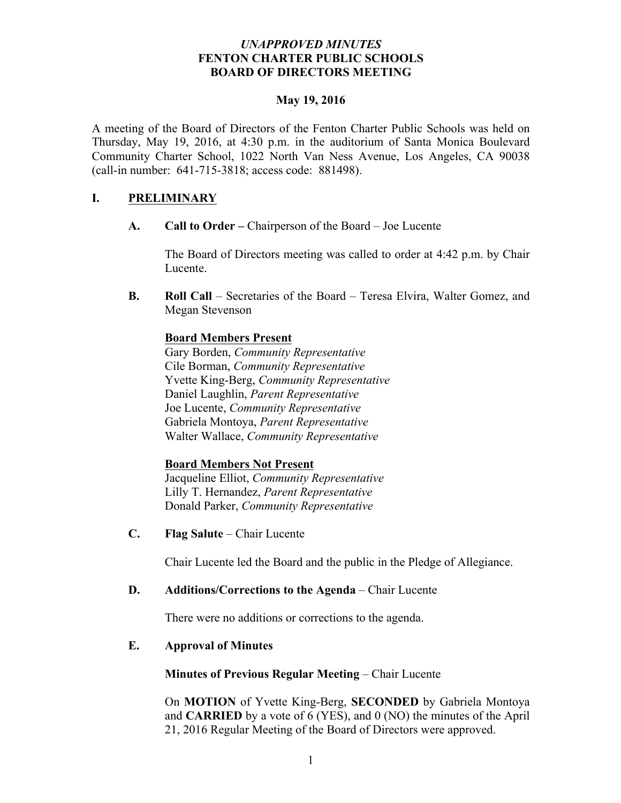## *UNAPPROVED MINUTES* **FENTON CHARTER PUBLIC SCHOOLS BOARD OF DIRECTORS MEETING**

## **May 19, 2016**

A meeting of the Board of Directors of the Fenton Charter Public Schools was held on Thursday, May 19, 2016, at 4:30 p.m. in the auditorium of Santa Monica Boulevard Community Charter School, 1022 North Van Ness Avenue, Los Angeles, CA 90038 (call-in number: 641-715-3818; access code: 881498).

# **I. PRELIMINARY**

**A. Call to Order –** Chairperson of the Board – Joe Lucente

The Board of Directors meeting was called to order at 4:42 p.m. by Chair Lucente.

**B. Roll Call** – Secretaries of the Board – Teresa Elvira, Walter Gomez, and Megan Stevenson

## **Board Members Present**

Gary Borden, *Community Representative*  Cile Borman, *Community Representative* Yvette King-Berg, *Community Representative* Daniel Laughlin, *Parent Representative* Joe Lucente, *Community Representative* Gabriela Montoya, *Parent Representative* Walter Wallace, *Community Representative* 

## **Board Members Not Present**

Jacqueline Elliot, *Community Representative* Lilly T. Hernandez, *Parent Representative* Donald Parker, *Community Representative*

**C. Flag Salute** – Chair Lucente

Chair Lucente led the Board and the public in the Pledge of Allegiance.

## **D. Additions/Corrections to the Agenda** – Chair Lucente

There were no additions or corrections to the agenda.

## **E. Approval of Minutes**

**Minutes of Previous Regular Meeting** – Chair Lucente

On **MOTION** of Yvette King-Berg, **SECONDED** by Gabriela Montoya and **CARRIED** by a vote of 6 (YES), and 0 (NO) the minutes of the April 21, 2016 Regular Meeting of the Board of Directors were approved.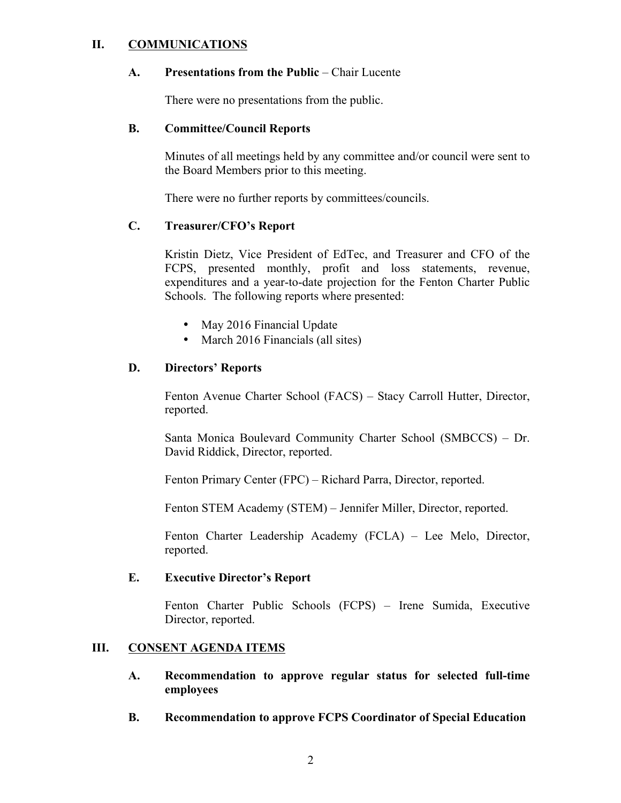## **II. COMMUNICATIONS**

#### **A. Presentations from the Public** – Chair Lucente

There were no presentations from the public.

#### **B. Committee/Council Reports**

Minutes of all meetings held by any committee and/or council were sent to the Board Members prior to this meeting.

There were no further reports by committees/councils.

## **C. Treasurer/CFO's Report**

Kristin Dietz, Vice President of EdTec, and Treasurer and CFO of the FCPS, presented monthly, profit and loss statements, revenue, expenditures and a year-to-date projection for the Fenton Charter Public Schools. The following reports where presented:

- May 2016 Financial Update
- March 2016 Financials (all sites)

# **D. Directors' Reports**

Fenton Avenue Charter School (FACS) – Stacy Carroll Hutter, Director, reported.

Santa Monica Boulevard Community Charter School (SMBCCS) – Dr. David Riddick, Director, reported.

Fenton Primary Center (FPC) – Richard Parra, Director, reported.

Fenton STEM Academy (STEM) – Jennifer Miller, Director, reported.

Fenton Charter Leadership Academy (FCLA) – Lee Melo, Director, reported.

## **E. Executive Director's Report**

Fenton Charter Public Schools (FCPS) – Irene Sumida, Executive Director, reported.

# **III. CONSENT AGENDA ITEMS**

- **A. Recommendation to approve regular status for selected full-time employees**
- **B. Recommendation to approve FCPS Coordinator of Special Education**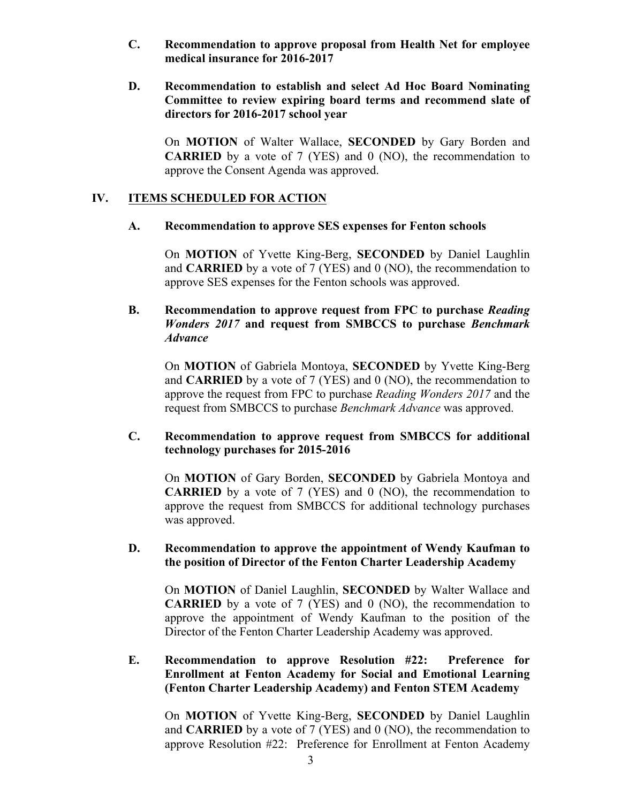- **C. Recommendation to approve proposal from Health Net for employee medical insurance for 2016-2017**
- **D. Recommendation to establish and select Ad Hoc Board Nominating Committee to review expiring board terms and recommend slate of directors for 2016-2017 school year**

On **MOTION** of Walter Wallace, **SECONDED** by Gary Borden and **CARRIED** by a vote of 7 (YES) and 0 (NO), the recommendation to approve the Consent Agenda was approved.

#### **IV. ITEMS SCHEDULED FOR ACTION**

#### **A. Recommendation to approve SES expenses for Fenton schools**

On **MOTION** of Yvette King-Berg, **SECONDED** by Daniel Laughlin and **CARRIED** by a vote of 7 (YES) and 0 (NO), the recommendation to approve SES expenses for the Fenton schools was approved.

## **B. Recommendation to approve request from FPC to purchase** *Reading Wonders 2017* **and request from SMBCCS to purchase** *Benchmark Advance*

On **MOTION** of Gabriela Montoya, **SECONDED** by Yvette King-Berg and **CARRIED** by a vote of 7 (YES) and 0 (NO), the recommendation to approve the request from FPC to purchase *Reading Wonders 2017* and the request from SMBCCS to purchase *Benchmark Advance* was approved.

## **C. Recommendation to approve request from SMBCCS for additional technology purchases for 2015-2016**

On **MOTION** of Gary Borden, **SECONDED** by Gabriela Montoya and **CARRIED** by a vote of 7 (YES) and 0 (NO), the recommendation to approve the request from SMBCCS for additional technology purchases was approved.

## **D. Recommendation to approve the appointment of Wendy Kaufman to the position of Director of the Fenton Charter Leadership Academy**

On **MOTION** of Daniel Laughlin, **SECONDED** by Walter Wallace and **CARRIED** by a vote of 7 (YES) and 0 (NO), the recommendation to approve the appointment of Wendy Kaufman to the position of the Director of the Fenton Charter Leadership Academy was approved.

**E. Recommendation to approve Resolution #22: Preference for Enrollment at Fenton Academy for Social and Emotional Learning (Fenton Charter Leadership Academy) and Fenton STEM Academy** 

On **MOTION** of Yvette King-Berg, **SECONDED** by Daniel Laughlin and **CARRIED** by a vote of 7 (YES) and 0 (NO), the recommendation to approve Resolution #22: Preference for Enrollment at Fenton Academy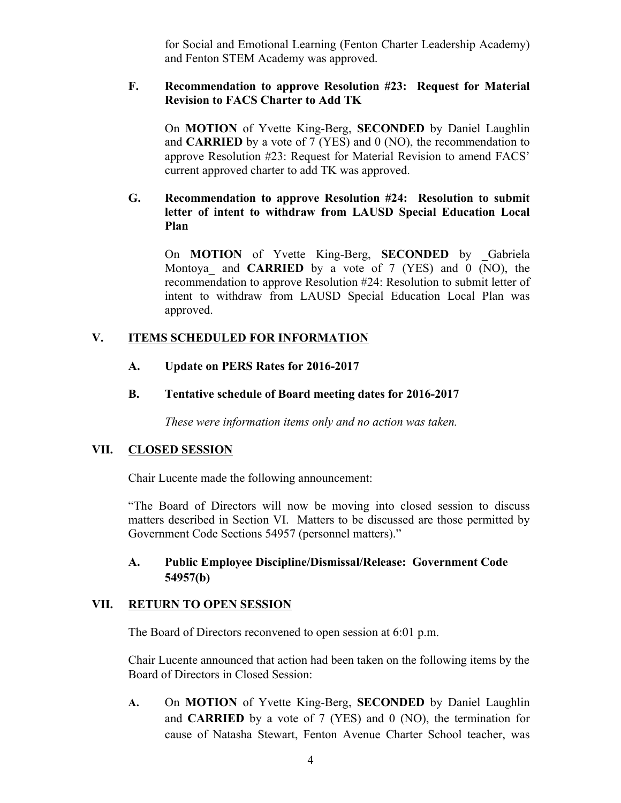for Social and Emotional Learning (Fenton Charter Leadership Academy) and Fenton STEM Academy was approved.

## **F. Recommendation to approve Resolution #23: Request for Material Revision to FACS Charter to Add TK**

On **MOTION** of Yvette King-Berg, **SECONDED** by Daniel Laughlin and **CARRIED** by a vote of 7 (YES) and 0 (NO), the recommendation to approve Resolution #23: Request for Material Revision to amend FACS' current approved charter to add TK was approved.

## **G. Recommendation to approve Resolution #24: Resolution to submit letter of intent to withdraw from LAUSD Special Education Local Plan**

On **MOTION** of Yvette King-Berg, **SECONDED** by \_Gabriela Montoya\_ and **CARRIED** by a vote of 7 (YES) and 0 (NO), the recommendation to approve Resolution #24: Resolution to submit letter of intent to withdraw from LAUSD Special Education Local Plan was approved.

## **V. ITEMS SCHEDULED FOR INFORMATION**

#### **A. Update on PERS Rates for 2016-2017**

#### **B. Tentative schedule of Board meeting dates for 2016-2017**

*These were information items only and no action was taken.*

#### **VII. CLOSED SESSION**

Chair Lucente made the following announcement:

"The Board of Directors will now be moving into closed session to discuss matters described in Section VI. Matters to be discussed are those permitted by Government Code Sections 54957 (personnel matters)."

# **A. Public Employee Discipline/Dismissal/Release: Government Code 54957(b)**

#### **VII. RETURN TO OPEN SESSION**

The Board of Directors reconvened to open session at 6:01 p.m.

Chair Lucente announced that action had been taken on the following items by the Board of Directors in Closed Session:

**A.** On **MOTION** of Yvette King-Berg, **SECONDED** by Daniel Laughlin and **CARRIED** by a vote of 7 (YES) and 0 (NO), the termination for cause of Natasha Stewart, Fenton Avenue Charter School teacher, was